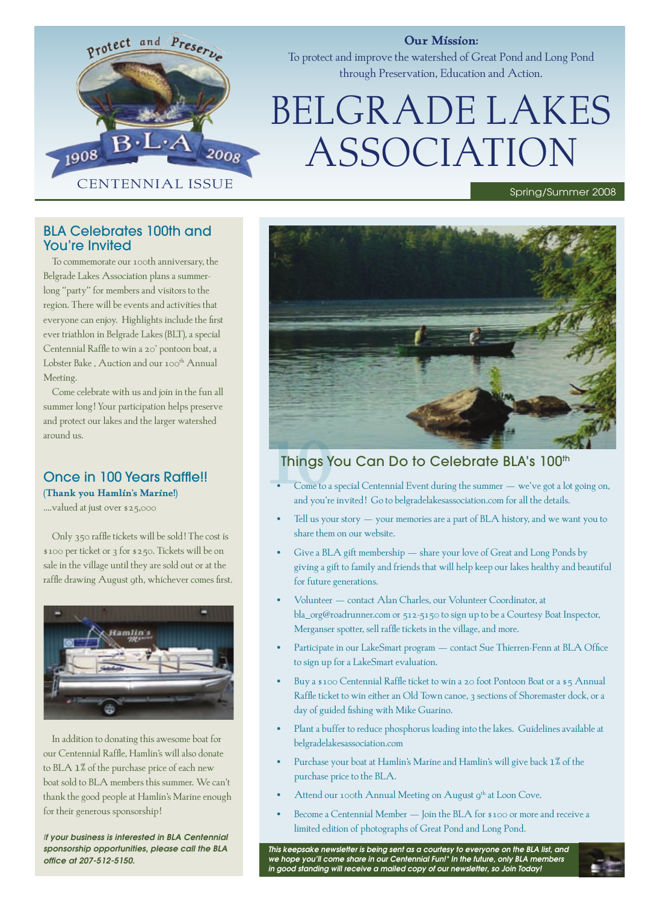

## **Our Mission:**

To protect and improve the watershed of Great Pond and Long Pond through Preservation, Education and Action.

# BELGRADE LAKES ASSOCIATION

## BLA Celebrates 100th and You're Invited

To commemorate our 100th anniversary, the Belgrade Lakes Association plans a summerlong "party" for members and visitors to the region. There will be events and activities that everyone can enjoy. Highlights include the first ever triathlon in Belgrade Lakes (BLT), a special Centennial Raffle to win a 20' pontoon boat, a Lobster Bake, Auction and our 100<sup>th</sup> Annual Meeting.

Come celebrate with us and join in the fun all summer long! Your participation helps preserve and protect our lakes and the larger watershed around us.

## Once in 100 Years Raffle!! **(Thank you Hamlin's Marine!)**

….valued at just over \$25,000

Only 350 raffle tickets will be sold! The cost is \$100 per ticket or 3 for \$250. Tickets will be on sale in the village until they are sold out or at the raffle drawing August 9th, whichever comes first.



In addition to donating this awesome boat for our Centennial Raffle, Hamlin's will also donate to BLA 1% of the purchase price of each new boat sold to BLA members this summer. We can't thank the good people at Hamlin's Marine enough for their generous sponsorship!

*If your business is interested in BLA Centennial sponsorship opportunities, please call the BLA office at 207-512-5150.*



# Things You Can Do to Celebrate BLA's 100th

- Come to a special Centennial Event during the summer we've got a lot going on, and you're invited! Go to belgradelakesassociation.com for all the details.
- Tell us your story your memories are a part of BLA history, and we want you to share them on our website.
- Give a BLA gift membership share your love of Great and Long Ponds by giving a gift to family and friends that will help keep our lakes healthy and beautiful for future generations.
- Volunteer contact Alan Charles, our Volunteer Coordinator, at bla\_org@roadrunner.com or 512-5150 to sign up to be a Courtesy Boat Inspector, Merganser spotter, sell raffle tickets in the village, and more.
- Participate in our LakeSmart program contact Sue Thierren-Fenn at BLA Office to sign up for a LakeSmart evaluation.
- Buy a \$100 Centennial Raffle ticket to win a 20 foot Pontoon Boat or a \$5 Annual Raffle ticket to win either an Old Town canoe, 3 sections of Shoremaster dock, or a day of guided fishing with Mike Guarino.
- Plant a buffer to reduce phosphorus loading into the lakes. Guidelines available at belgradelakesassociation.com
- Purchase your boat at Hamlin's Marine and Hamlin's will give back 1% of the purchase price to the BLA.
- Attend our 100th Annual Meeting on August 9<sup>th</sup> at Loon Cove.
- Become a Centennial Member Join the BLA for \$100 or more and receive a limited edition of photographs of Great Pond and Long Pond.

*This keepsake newsletter is being sent as a courtesy to everyone on the BLA list, and we hope you'll come share in our Centennial Fun!\* In the future, only BLA members in good standing will receive a mailed copy of our newsletter, so Join Today!*

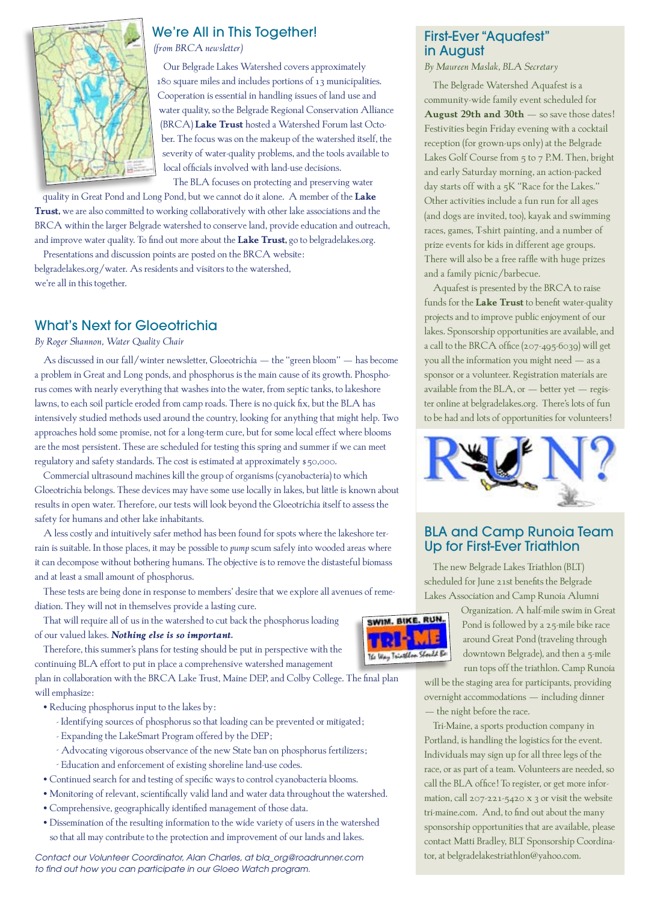

# We're All in This Together!

*(from BRCA newsletter)*

Our Belgrade Lakes Watershed covers approximately 180 square miles and includes portions of 13 municipalities. Cooperation is essential in handling issues of land use and water quality, so the Belgrade Regional Conservation Alliance (BRCA) **Lake Trust** hosted a Watershed Forum last October. The focus was on the makeup of the watershed itself, the severity of water-quality problems, and the tools available to local officials involved with land-use decisions.

The BLA focuses on protecting and preserving water

quality in Great Pond and Long Pond, but we cannot do it alone. A member of the **Lake Trust,** we are also committed to working collaboratively with other lake associations and the BRCA within the larger Belgrade watershed to conserve land, provide education and outreach, and improve water quality. To find out more about the **Lake Trust,** go to belgradelakes.org.

Presentations and discussion points are posted on the BRCA website: belgradelakes.org/water. As residents and visitors to the watershed, we're all in this together.

# What's Next for Gloeotrichia

*By Roger Shannon, Water Quality Chair*

As discussed in our fall/winter newsletter, Gloeotrichia – the "green bloom" – has become a problem in Great and Long ponds, and phosphorus is the main cause of its growth. Phosphorus comes with nearly everything that washes into the water, from septic tanks, to lakeshore lawns, to each soil particle eroded from camp roads. There is no quick fix, but the BLA has intensively studied methods used around the country, looking for anything that might help. Two approaches hold some promise, not for a long-term cure, but for some local effect where blooms are the most persistent. These are scheduled for testing this spring and summer if we can meet regulatory and safety standards. The cost is estimated at approximately \$50,000.

Commercial ultrasound machines kill the group of organisms (cyanobacteria) to which Gloeotrichia belongs. These devices may have some use locally in lakes, but little is known about results in open water. Therefore, our tests will look beyond the Gloeotrichia itself to assess the safety for humans and other lake inhabitants.

A less costly and intuitively safer method has been found for spots where the lakeshore terrain is suitable. In those places, it may be possible to *pump* scum safely into wooded areas where it can decompose without bothering humans. The objective is to remove the distasteful biomass and at least a small amount of phosphorus.

These tests are being done in response to members' desire that we explore all avenues of remediation. They will not in themselves provide a lasting cure.

That will require all of us in the watershed to cut back the phosphorus loading of our valued lakes. *Nothing else is so important.*

Therefore, this summer's plans for testing should be put in perspective with the continuing BLA effort to put in place a comprehensive watershed management

plan in collaboration with the BRCA Lake Trust, Maine DEP, and Colby College. The final plan will emphasize:

- Reducing phosphorus input to the lakes by:
	- Identifying sources of phosphorus so that loading can be prevented or mitigated;
	- Expanding the LakeSmart Program offered by the DEP;
	- Advocating vigorous observance of the new State ban on phosphorus fertilizers;
	- Education and enforcement of existing shoreline land-use codes.
- Continued search for and testing of specific ways to control cyanobacteria blooms.
- Monitoring of relevant, scientifically valid land and water data throughout the watershed.
- Comprehensive, geographically identified management of those data.
- Dissemination of the resulting information to the wide variety of users in the watershed so that all may contribute to the protection and improvement of our lands and lakes.

*Contact our Volunteer Coordinator, Alan Charles, at bla\_org@roadrunner.com to find out how you can participate in our Gloeo Watch program.*

## First-Ever "Aquafest" in August

*By Maureen Maslak, BLA Secretary*

The Belgrade Watershed Aquafest is a community-wide family event scheduled for **August 29th and 30th** – so save those dates! Festivities begin Friday evening with a cocktail reception (for grown-ups only) at the Belgrade Lakes Golf Course from 5 to 7 P.M. Then, bright and early Saturday morning, an action-packed day starts off with a 5K "Race for the Lakes." Other activities include a fun run for all ages (and dogs are invited, too), kayak and swimming races, games, T-shirt painting, and a number of prize events for kids in different age groups. There will also be a free raffle with huge prizes and a family picnic/barbecue.

Aquafest is presented by the BRCA to raise funds for the **Lake Trust** to benefit water-quality projects and to improve public enjoyment of our lakes. Sponsorship opportunities are available, and a call to the BRCA office (207-495-6039) will get you all the information you might need – as a sponsor or a volunteer. Registration materials are available from the BLA, or  $-$  better yet  $-$  register online at belgradelakes.org. There's lots of fun to be had and lots of opportunities for volunteers!



## BLA and Camp Runoia Team Up for First-Ever Triathlon

The new Belgrade Lakes Triathlon (BLT) scheduled for June 21st benefits the Belgrade Lakes Association and Camp Runoia Alumni



Organization. A half-mile swim in Great Pond is followed by a 25-mile bike race around Great Pond (traveling through downtown Belgrade), and then a 5-mile run tops off the triathlon. Camp Runoia

will be the staging area for participants, providing overnight accommodations – including dinner – the night before the race.

Tri-Maine, a sports production company in Portland, is handling the logistics for the event. Individuals may sign up for all three legs of the race, or as part of a team. Volunteers are needed, so call the BLA office! To register, or get more information, call 207-221-5420 x 3 or visit the website tri-maine.com. And, to find out about the many sponsorship opportunities that are available, please contact Matti Bradley, BLT Sponsorship Coordinator, at belgradelakestriathlon@yahoo.com.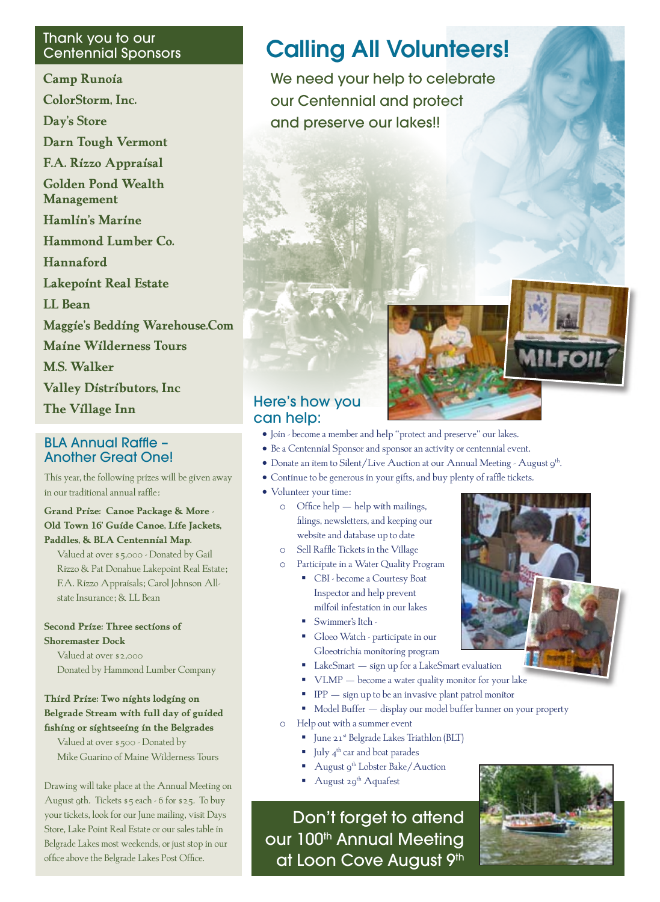# Thank you to our

**Camp Runoia ColorStorm, Inc. Day's Store Darn Tough Vermont F.A. Rizzo Appraisal Golden Pond Wealth Management Hamlin's Marine Hammond Lumber Co. Hannaford Lakepoint Real Estate LL Bean Maggie's Bedding Warehouse.Com Maine Wilderness Tours M.S. Walker Valley Distributors, Inc The Village Inn**

# BLA Annual Raffle – Another Great One!

This year, the following prizes will be given away in our traditional annual raffle:

**Grand Prize: Canoe Package & More - Old Town 16' Guide Canoe, Life Jackets, Paddles, & BLA Centennial Map.**

Valued at over \$5,000 - Donated by Gail Rizzo & Pat Donahue Lakepoint Real Estate; F.A. Rizzo Appraisals; Carol Johnson Allstate Insurance; & LL Bean

**Second Prize: Three sections of Shoremaster Dock**

Valued at over \$2,000 Donated by Hammond Lumber Company

## **Third Prize: Two nights lodging on Belgrade Stream with full day of guided fishing or sightseeing in the Belgrades**

Valued at over \$500 - Donated by Mike Guarino of Maine Wilderness Tours

Drawing will take place at the Annual Meeting on August 9th. Tickets \$5 each - 6 for \$25. To buy your tickets, look for our June mailing, visit Days Store, Lake Point Real Estate or our sales table in Belgrade Lakes most weekends, or just stop in our office above the Belgrade Lakes Post Office.

# **Calling All Volunteers!**

We need your help to celebrate our Centennial and protect and preserve our lakes!!



# Here's how you can help:

- • Join become a member and help "protect and preserve" our lakes.
- Be a Centennial Sponsor and sponsor an activity or centennial event.
- Donate an item to Silent/Live Auction at our Annual Meeting August 9<sup>th</sup>.
- • Continue to be generous in your gifts, and buy plenty of raffle tickets.
- Volunteer your time:
	- o Office help help with mailings, filings, newsletters, and keeping our website and database up to date
	- o Sell Raffle Tickets in the Village
	- o Participate in a Water Quality Program
		- CBI become a Courtesy Boat Inspector and help prevent milfoil infestation in our lakes
		- Swimmer's Itch -
		- Gloeo Watch participate in our Gloeotrichia monitoring program
		- LakeSmart sign up for a LakeSmart evaluation
		- VLMP become a water quality monitor for your lake
		- IPP sign up to be an invasive plant patrol monitor
		- Model Buffer display our model buffer banner on your property
	- o Help out with a summer event
		- June 21<sup>st</sup> Belgrade Lakes Triathlon (BLT)
		- $\Box$  July 4<sup>th</sup> car and boat parades
		- August 9<sup>th</sup> Lobster Bake/Auction
		- August  $29^{th}$  Aquafest

Don't forget to attend our 100<sup>th</sup> Annual Meeting at Loon Cove August 9th



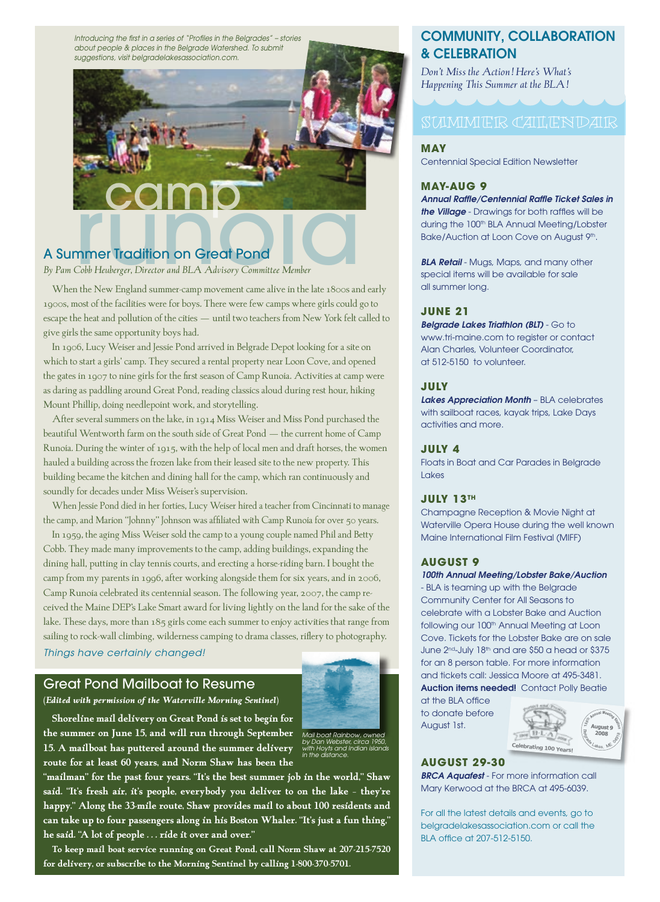*Introducing the first in a series of "Profiles in the Belgrades" – stories about people & places in the Belgrade Watershed. To submit suggestions, visit belgradelakesassociation.com.*



# A Summer Tradition on Great Pond

*By Pam Cobb Heuberger, Director and BLA Advisory Committee Member*

When the New England summer-camp movement came alive in the late 1800s and early 1900s, most of the facilities were for boys. There were few camps where girls could go to escape the heat and pollution of the cities – until two teachers from New York felt called to give girls the same opportunity boys had.

In 1906, Lucy Weiser and Jessie Pond arrived in Belgrade Depot looking for a site on which to start a girls' camp. They secured a rental property near Loon Cove, and opened the gates in 1907 to nine girls for the first season of Camp Runoia. Activities at camp were as daring as paddling around Great Pond, reading classics aloud during rest hour, hiking Mount Phillip, doing needlepoint work, and storytelling.

After several summers on the lake, in 1914 Miss Weiser and Miss Pond purchased the beautiful Wentworth farm on the south side of Great Pond – the current home of Camp Runoia. During the winter of 1915, with the help of local men and draft horses, the women hauled a building across the frozen lake from their leased site to the new property. This building became the kitchen and dining hall for the camp, which ran continuously and soundly for decades under Miss Weiser's supervision.

When Jessie Pond died in her forties, Lucy Weiser hired a teacher from Cincinnati to manage the camp, and Marion "Johnny" Johnson was affiliated with Camp Runoia for over 50 years.

In 1959, the aging Miss Weiser sold the camp to a young couple named Phil and Betty Cobb. They made many improvements to the camp, adding buildings, expanding the dining hall, putting in clay tennis courts, and erecting a horse-riding barn. I bought the camp from my parents in 1996, after working alongside them for six years, and in 2006, Camp Runoia celebrated its centennial season. The following year, 2007, the camp received the Maine DEP's Lake Smart award for living lightly on the land for the sake of the lake. These days, more than 185 girls come each summer to enjoy activities that range from sailing to rock-wall climbing, wilderness camping to drama classes, riflery to photography.

### *Things have certainly changed!*

#### Great Pond Mailboat to Resume



**Shoreline mail delivery on Great Pond is set to begin for the summer on June 15, and will run through September 15. A mailboat has puttered around the summer delivery route for at least 60 years, and Norm Shaw has been the**  *by Dan Webster, circa 1950, with Hoyts and Indian islands in the distance.*

**"mailman" for the past four years. "It's the best summer job in the world," Shaw said. "It's fresh air, it's people, everybody you deliver to on the lake – they're happy." Along the 33-mile route, Shaw provides mail to about 100 residents and can take up to four passengers along in his Boston Whaler. "It's just a fun thing," he said. "A lot of people . . . ride it over and over."**

**To keep mail boat service running on Great Pond, call Norm Shaw at 207-215-7520 for delivery, or subscribe to the Morning Sentinel by calling 1-800-370-5701.**

## COMMUNITY, COLLABORATION & CELEBRATION

*Don't Miss the Action! Here's What's Happening This Summer at the BLA!*

# SUMMER CALENDAR

#### **May**

Centennial Special Edition Newsletter

#### **May-Aug 9**

*Annual Raffle/Centennial Raffle Ticket Sales in the Village* - Drawings for both raffles will be during the 100<sup>th</sup> BLA Annual Meeting/Lobster Bake/Auction at Loon Cove on August 9<sup>th</sup>.

*BLA Retail* - Mugs, Maps, and many other special items will be available for sale all summer long.

#### **June 21**

*Belgrade Lakes Triathlon (BLT)* - Go to www.tri-maine.com to register or contact Alan Charles, Volunteer Coordinator, at 512-5150 to volunteer.

#### **July**

*Lakes Appreciation Month* – BLA celebrates with sailboat races, kayak trips, Lake Days activities and more.

#### **July 4**

Floats in Boat and Car Parades in Belgrade Lakes

#### **July 13th**

Champagne Reception & Movie Night at Waterville Opera House during the well known Maine International Film Festival (MIFF)

#### **August 9**

#### *100th Annual Meeting/Lobster Bake/Auction*

- BLA is teaming up with the Belgrade Community Center for All Seasons to celebrate with a Lobster Bake and Auction following our 100<sup>th</sup> Annual Meeting at Loon Cove. Tickets for the Lobster Bake are on sale June 2<sup>nd</sup>-July 18<sup>th</sup> and are \$50 a head or \$375 for an 8 person table. For more information and tickets call: Jessica Moore at 495-3481. Auction items needed! Contact Polly Beatie

at the BLA office to donate before August 1st.



#### **August 29-30**

*BRCA Aquafest* - For more information call Mary Kerwood at the BRCA at 495-6039.

For all the latest details and events, go to belgradelakesassociation.com or call the BLA office at 207-512-5150.

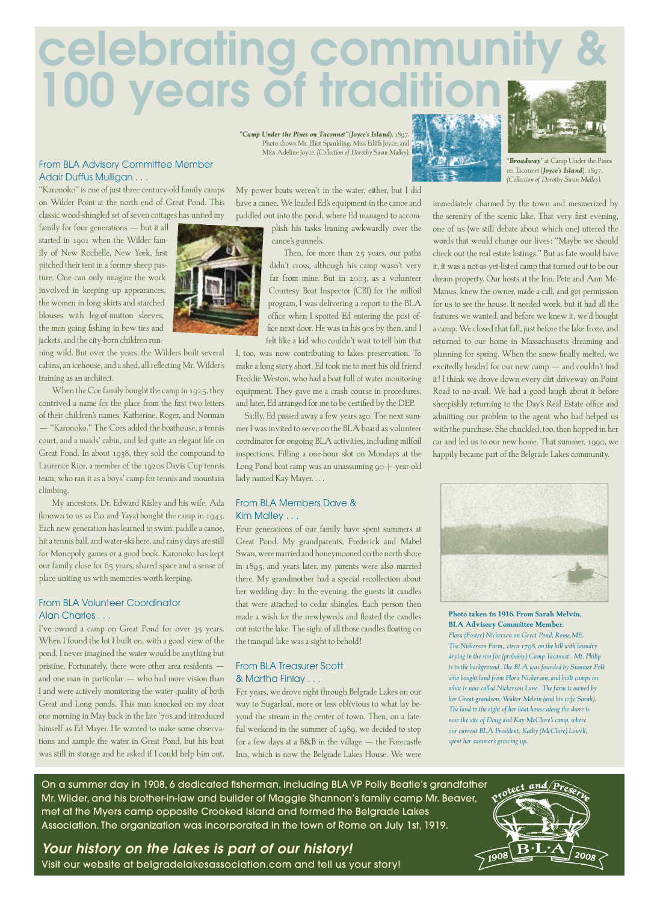# celebrating commun 100 years of traditi

#### From BLA Advisory Committee Member Adair Duffus Mulligan . . .

"Karonoko" is one of just three century-old family camps on Wilder Point at the north end of Great Pond. This classic wood-shingled set of seven cottages has united my

family for four generations – but it all started in 1901 when the Wilder family of New Rochelle, New York, first pitched their tent in a former sheep pasture. One can only imagine the work involved in keeping up appearances, the women in long skirts and starched blouses with leg-of-mutton sleeves, the men going fishing in bow ties and jackets, and the city-born children run-

ning wild. But over the years, the Wilders built several cabins, an icehouse, and a shed, all reflecting Mr. Wilder's training as an architect.

When the Coe family bought the camp in 1925, they contrived a name for the place from the first two letters of their children's names, Katherine, Roger, and Norman – "Karonoko." The Coes added the boathouse, a tennis court, and a maids' cabin, and led quite an elegant life on Great Pond. In about 1938, they sold the compound to Laurence Rice, a member of the 1920s Davis Cup tennis team, who ran it as a boys' camp for tennis and mountain climbing.

My ancestors, Dr. Edward Risley and his wife, Ada (known to us as Paa and Yaya) bought the camp in 1943. Each new generation has learned to swim, paddle a canoe, hit a tennis ball, and water-ski here, and rainy days are still for Monopoly games or a good book. Karonoko has kept our family close for 65 years, shared space and a sense of place uniting us with memories worth keeping.

#### From BLA Volunteer Coordinator Alan Charles . . .

I've owned a camp on Great Pond for over 35 years. When I found the lot I built on, with a good view of the pond, I never imagined the water would be anything but pristine. Fortunately, there were other area residents – and one man in particular – who had more vision than I and were actively monitoring the water quality of both Great and Long ponds. This man knocked on my door one morning in May back in the late '70s and introduced himself as Ed Mayer. He wanted to make some observations and sample the water in Great Pond, but his boat was still in storage and he asked if I could help him out.

*"Camp Under the Pines on Taconnet" (Joyce's Island)*, 1897. Photo shows Mr. Eliot Spaulding, Miss Edith Joyce, and Miss Adeline Joyce. *(Collection of Dorothy Swan Malley).*

My power boats weren't in the water, either, but I did have a canoe. We loaded Ed's equipment in the canoe and paddled out into the pond, where Ed managed to accom-

plish his tasks leaning awkwardly over the canoe's gunnels.

Then, for more than 25 years, our paths didn't cross, although his camp wasn't very far from mine. But in 2003, as a volunteer Courtesy Boat Inspector (CBI) for the milfoil program, I was delivering a report to the BLA office when I spotted Ed entering the post office next door. He was in his 90s by then, and I felt like a kid who couldn't wait to tell him that

I, too, was now contributing to lakes preservation. To make a long story short, Ed took me to meet his old friend Freddie Weston, who had a boat full of water monitoring equipment. They gave me a crash course in procedures, and later, Ed arranged for me to be certified by the DEP.

Sadly, Ed passed away a few years ago. The next summer I was invited to serve on the BLA board as volunteer coordinator for ongoing BLA activities, including milfoil inspections. Filling a one-hour slot on Mondays at the Long Pond boat ramp was an unassuming 90+-year-old lady named Kay Mayer. . . .

#### From BLA Members Dave & Kim Malley . . .

Four generations of our family have spent summers at Great Pond. My grandparents, Frederick and Mabel Swan, were married and honeymooned on the north shore in 1895, and years later, my parents were also married there. My grandmother had a special recollection about her wedding day: In the evening, the guests lit candles that were attached to cedar shingles. Each person then made a wish for the newlyweds and floated the candles out into the lake. The sight of all thosecandles floating on the tranquil lake was a sight to behold!

#### From BLA Treasurer Scott & Martha Finlay . . .

For years, we drove right through Belgrade Lakes on our way to Sugarloaf, more or less oblivious to what lay beyond the stream in the center of town. Then, on a fateful weekend in the summer of 1989, we decided to stop for a few days at a B&B in the village – the Forecastle Inn, which is now the Belgrade Lakes House. We were immediately charmed by the town and mesmerized by the serenity of the scenic lake. That very first evening, one of us (we still debate about which one) uttered the words that would change our lives: "Maybe we should check out the real estate listings." But as fate would have it, it was a not-as-yet-listed camp that turned out to be our dream property. Our hosts at the Inn, Pete and Ann Mc-Manus, knew the owner, made a call, and got permission for us to see the house. It needed work, but it had all the features we wanted, and before we knew it, we'd bought a camp. We closed that fall, just before the lake froze, and returned to our home in Massachusetts dreaming and planning for spring. When the snow finally melted, we excitedly headed for our new camp - and couldn't find it! I think we drove down every dirt driveway on Point Road to no avail. We had a good laugh about it before sheepishly returning to the Day's Real Estate office and admitting our problem to the agent who had helped us with the purchase. She chuckled, too, then hopped in her on Taconnet *(Joyce's Island)*, 1897. *(Collection of Dorothy Swan Malley).*

*"Broadway"* at Camp Under the Pines



car and led us to our new home. That summer, 1990, we happily became part of the Belgrade Lakes community.

**Photo taken in 1916. From Sarah Melvin, BLA Advisory Committee Member.** *Flora (Foster) Nickerson on Great Pond, Rome,ME. The Nickerson Farm, circa 1798, on the hill with laundry drying in the sun for (probably) Camp Taconnet. Mt. Philip is in the background. The BLA was founded by Summer Folk who bought land from Flora Nickerson, and built camps on what is now called Nickerson Lane. The farm is owned by her Great-grandson, Walter Melvin (and his wife Sarah). The land to the right of her boat-house along the shore is now the site of Doug and Kay McClure's camp, where our current BLA President, Kathy (McClure) Lowell, spent her summer's growing up.*

On a summer day in 1908, 6 dedicated fisherman, including BLA VP Polly Beatie's grandfather Mr. Wilder, and his brother-in-law and builder of Maggie Shannon's family camp Mr. Beaver, met at the Myers camp opposite Crooked Island and formed the Belgrade Lakes Association. The organization was incorporated in the town of Rome on July 1st, 1919.

*Your history on the lakes is part of our history!* Visit our website at belgradelakesassociation.com and tell us your story!

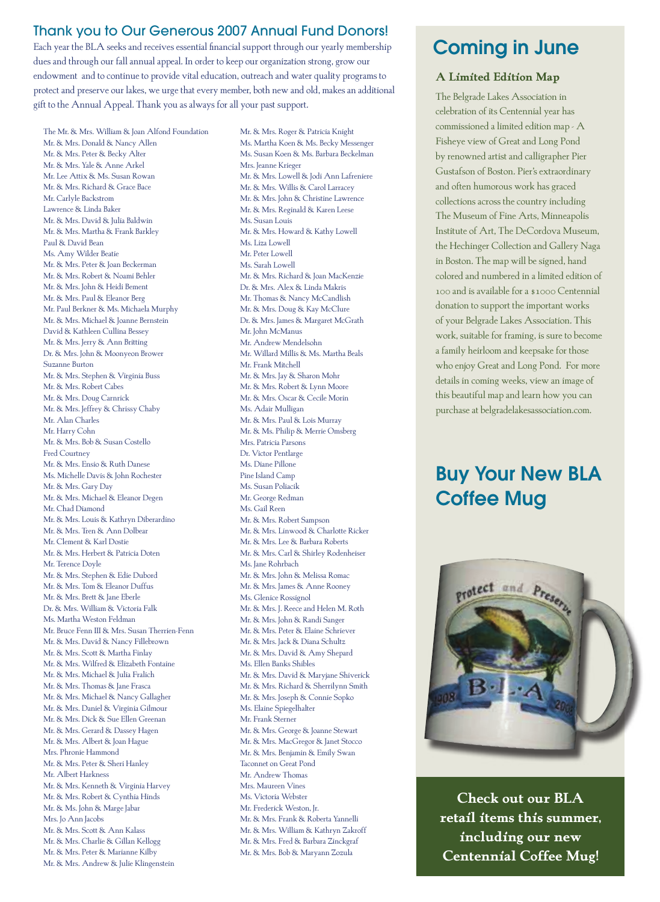# Thank you to Our Generous 2007 Annual Fund Donors!

Each year the BLA seeks and receives essential financial support through our yearly membership dues and through our fall annual appeal. In order to keep our organization strong, grow our endowment and to continue to provide vital education, outreach and water quality programs to protect and preserve our lakes, we urge that every member, both new and old, makes an additional gift to the Annual Appeal. Thank you as always for all your past support.

The Mr. & Mrs. William & Joan Alfond Foundation Mr. & Mrs. Donald & Nancy Allen Mr. & Mrs. Peter & Becky Alter Mr. & Mrs. Yale & Anne Arkel Mr. Lee Attix & Ms. Susan Rowan Mr. & Mrs. Richard & Grace Bace Mr. Carlyle Backstrom Lawrence & Linda Baker Mr. & Mrs. David & Julia Baldwin Mr. & Mrs. Martha & Frank Barkley Paul & David Bean Ms. Amy Wilder Beatie Mr. & Mrs. Peter & Joan Beckerman Mr. & Mrs. Robert & Noami Behler Mr. & Mrs. John & Heidi Bement Mr. & Mrs. Paul & Eleanor Berg Mr. Paul Berkner & Ms. Michaela Murphy Mr. & Mrs. Michael & Joanne Bernstein David & Kathleen Cullina Bessey Mr. & Mrs. Jerry & Ann Britting Dr. & Mrs. John & Moonyeon Brower Suzanne Burton Mr. & Mrs. Stephen & Virginia Buss Mr. & Mrs. Robert Cabes Mr. & Mrs. Doug Carnrick Mr. & Mrs. Jeffrey & Chrissy Chaby Mr. Alan Charles Mr. Harry Cohn Mr. & Mrs. Bob & Susan Costello Fred Courtney Mr. & Mrs. Ensio & Ruth Danese Ms. Michelle Davis & John Rochester Mr. & Mrs. Gary Day Mr. & Mrs. Michael & Eleanor Degen Mr. Chad Diamond Mr. & Mrs. Louis & Kathryn Diberardino Mr. & Mrs. Tren & Ann Dolbear Mr. Clement & Karl Dostie Mr. & Mrs. Herbert & Patricia Doten Mr. Terence Doyle Mr. & Mrs. Stephen & Edie Dubord Mr. & Mrs. Tom & Eleanor Duffus Mr. & Mrs. Brett & Jane Eberle Dr. & Mrs. William & Victoria Falk Ms. Martha Weston Feldman Mr. Bruce Fenn III & Mrs. Susan Therrien-Fenn Mr. & Mrs. David & Nancy Fillebrown Mr. & Mrs. Scott & Martha Finlay Mr. & Mrs. Wilfred & Elizabeth Fontaine Mr. & Mrs. Michael & Julia Fralich Mr. & Mrs. Thomas & Jane Frasca Mr. & Mrs. Michael & Nancy Gallagher Mr. & Mrs. Daniel & Virginia Gilmour Mr. & Mrs. Dick & Sue Ellen Greenan Mr. & Mrs. Gerard & Dassey Hagen Mr. & Mrs. Albert & Joan Hague Mrs. Phronie Hammond Mr. & Mrs. Peter & Sheri Hanley Mr. Albert Harkness Mr. & Mrs. Kenneth & Virginia Harvey Mr. & Mrs. Robert & Cynthia Hinds Mr. & Ms. John & Marge Jabar Mrs. Jo Ann Jacobs Mr. & Mrs. Scott & Ann Kalass Mr. & Mrs. Charlie & Gillan Kellogg Mr. & Mrs. Peter & Marianne Kilby Mr. & Mrs. Andrew & Julie Klingenstein

Mr. & Mrs. Roger & Patricia Knight Ms. Martha Koen & Ms. Becky Messenger Ms. Susan Koen & Ms. Barbara Beckelman Mrs. Jeanne Krieger Mr. & Mrs. Lowell & Jodi Ann Lafreniere Mr. & Mrs. Willis & Carol Larracey Mr. & Mrs. John & Christine Lawrence Mr. & Mrs. Reginald & Karen Leese Ms. Susan Louis Mr. & Mrs. Howard & Kathy Lowell Ms. Liza Lowell Mr. Peter Lowell Ms. Sarah Lowell Mr. & Mrs. Richard & Joan MacKenzie Dr. & Mrs. Alex & Linda Makris Mr. Thomas & Nancy McCandlish Mr. & Mrs. Doug & Kay McClure Dr. & Mrs. James & Margaret McGrath Mr. John McManus Mr. Andrew Mendelsohn Mr. Willard Millis & Ms. Martha Beals Mr. Frank Mitchell Mr. & Mrs. Jay & Sharon Mohr Mr. & Mrs. Robert & Lynn Moore Mr. & Mrs. Oscar & Cecile Morin Ms. Adair Mulligan Mr. & Mrs. Paul & Lois Murray Mr. & Ms. Philip & Merrie Omsberg Mrs. Patricia Parsons Dr. Victor Pentlarge Ms. Diane Pillone Pine Island Camp Ms. Susan Poliacik Mr. George Redman Ms. Gail Reen Mr. & Mrs. Robert Sampson Mr. & Mrs. Linwood & Charlotte Ricker Mr. & Mrs. Lee & Barbara Roberts Mr. & Mrs. Carl & Shirley Rodenheiser Ms. Jane Rohrbach Mr. & Mrs. John & Melissa Romac Mr. & Mrs. James & Anne Rooney Ms. Glenice Rossignol Mr. & Mrs. J. Reece and Helen M. Roth Mr. & Mrs. John & Randi Sanger Mr. & Mrs. Peter & Elaine Schriever Mr. & Mrs. Jack & Diana Schultz Mr. & Mrs. David & Amy Shepard Ms. Ellen Banks Shibles Mr. & Mrs. David & Maryjane Shiverick Mr. & Mrs. Richard & Sherrilynn Smith Mr. & Mrs. Joseph & Connie Sopko Ms. Elaine Spiegelhalter Mr. Frank Sterner Mr. & Mrs. George & Joanne Stewart Mr. & Mrs. MacGregor & Janet Stocco Mr. & Mrs. Benjamin & Emily Swan Taconnet on Great Pond Mr. Andrew Thomas Mrs. Maureen Vines Ms. Victoria Webster Mr. Frederick Weston, Jr. Mr. & Mrs. Frank & Roberta Yannelli Mr. & Mrs. William & Kathryn Zakroff Mr. & Mrs. Fred & Barbara Zinckgraf Mr. & Mrs. Bob & Maryann Zozula

# Coming in June

### **A Limited Edition Map**

The Belgrade Lakes Association in celebration of its Centennial year has commissioned a limited edition map - A Fisheye view of Great and Long Pond by renowned artist and calligrapher Pier Gustafson of Boston. Pier's extraordinary and often humorous work has graced collections across the country including The Museum of Fine Arts, Minneapolis Institute of Art, The DeCordova Museum, the Hechinger Collection and Gallery Naga in Boston. The map will be signed, hand colored and numbered in a limited edition of 100 and is available for a \$1000 Centennial donation to support the important works of your Belgrade Lakes Association. This work, suitable for framing, is sure to become a family heirloom and keepsake for those who enjoy Great and Long Pond.  For more details in coming weeks, view an image of this beautiful map and learn how you can purchase at belgradelakesassociation.com.

# Buy Your New BLA Coffee Mug



**Check out our BLA retail items this summer, including our new Centennial Coffee Mug!**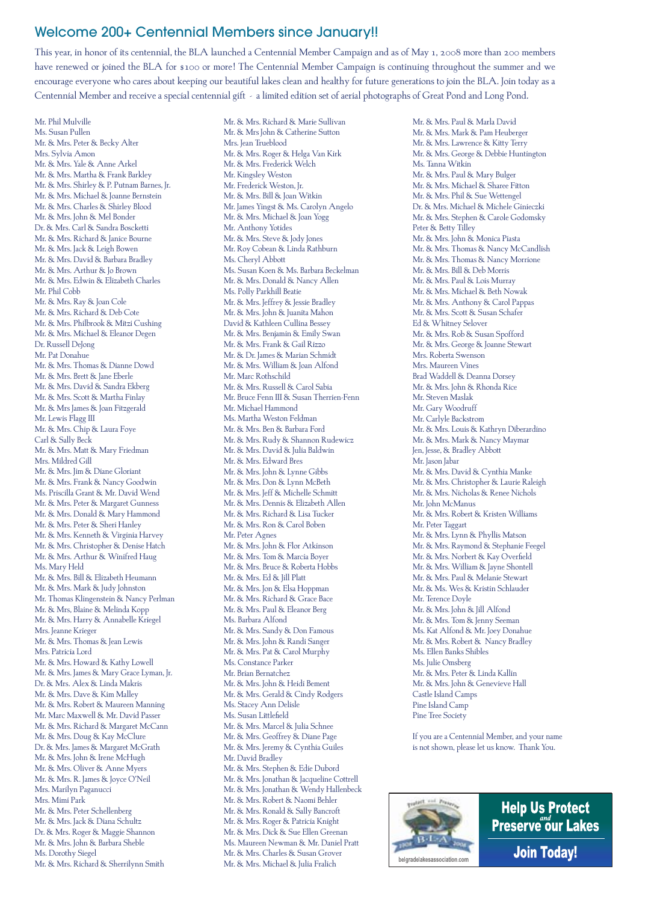## Welcome 200+ Centennial Members since January!!

This year, in honor of its centennial, the BLA launched a Centennial Member Campaign and as of May 1, 2008 more than 200 members have renewed or joined the BLA for \$100 or more! The Centennial Member Campaign is continuing throughout the summer and we encourage everyone who cares about keeping our beautiful lakes clean and healthy for future generations to join the BLA. Join today as a Centennial Member and receive a special centennial gift - a limited edition set of aerial photographs of Great Pond and Long Pond.

Mr. Phil Mulville Ms. Susan Pullen Mr. & Mrs. Peter & Becky Alter Mrs. Sylvia Amon Mr. & Mrs. Yale & Anne Arkel Mr. & Mrs. Martha & Frank Barkley Mr. & Mrs. Shirley & P. Putnam Barnes, Jr. Mr. & Mrs. Michael & Joanne Bernstein Mr. & Mrs. Charles & Shirley Blood Mr. & Mrs. John & Mel Bonder Dr. & Mrs. Carl & Sandra Boscketti Mr. & Mrs. Richard & Janice Bourne Mr. & Mrs. Jack & Leigh Bowen Mr. & Mrs. David & Barbara Bradley Mr. & Mrs. Arthur & Jo Brown Mr. & Mrs. Edwin & Elizabeth Charles Mr. Phil Cobb Mr. & Mrs. Ray & Joan Cole Mr. & Mrs. Richard & Deb Cote Mr. & Mrs. Philbrook & Mitzi Cushing Mr. & Mrs. Michael & Eleanor Degen Dr. Russell DeJong Mr. Pat Donahue Mr. & Mrs. Thomas & Dianne Dowd Mr. & Mrs. Brett & Jane Eberle Mr. & Mrs. David & Sandra Ekberg Mr. & Mrs. Scott & Martha Finlay Mr. & Mrs James & Joan Fitzgerald Mr. Lewis Flagg III Mr. & Mrs. Chip & Laura Foye Carl & Sally Beck Mr. & Mrs. Matt & Mary Friedman Mrs. Mildred Gill Mr. & Mrs. Jim & Diane Gloriant Mr. & Mrs. Frank & Nancy Goodwin Ms. Priscilla Grant & Mr. David Wend Mr. & Mrs. Peter & Margaret Gunness Mr. & Mrs. Donald & Mary Hammond Mr. & Mrs. Peter & Sheri Hanley Mr. & Mrs. Kenneth & Virginia Harvey Mr. & Mrs. Christopher & Denise Hatch Mr. & Mrs. Arthur & Winifred Haug Ms. Mary Held Mr. & Mrs. Bill & Elizabeth Heumann Mr. & Mrs. Mark & Judy Johnston Mr. Thomas Klingenstein & Nancy Perlman Mr. & Mrs, Blaine & Melinda Kopp Mr. & Mrs. Harry & Annabelle Kriegel Mrs. Jeanne Krieger Mr. & Mrs. Thomas & Jean Lewis Mrs. Patricia Lord Mr. & Mrs. Howard & Kathy Lowell Mr. & Mrs. James & Mary Grace Lyman, Jr. Dr. & Mrs. Alex & Linda Makris Mr. & Mrs. Dave & Kim Malley Mr. & Mrs. Robert & Maureen Manning Mr. Marc Maxwell & Mr. David Passer Mr. & Mrs. Richard & Margaret McCann Mr. & Mrs. Doug & Kay McClure Dr. & Mrs. James & Margaret McGrath Mr. & Mrs. John & Irene McHugh Mr. & Mrs. Oliver & Anne Myers Mr. & Mrs. R. James & Joyce O'Neil Mrs. Marilyn Paganucci Mrs. Mimi Park Mr. & Mrs. Peter Schellenberg Mr. & Mrs. Jack & Diana Schultz Dr. & Mrs. Roger & Maggie Shannon Mr. & Mrs. John & Barbara Sheble Ms. Dorothy Siegel Mr. & Mrs. Richard & Sherrilynn Smith

Mr. & Mrs. Richard & Marie Sullivan Mr. & Mrs John & Catherine Sutton Mrs. Jean Trueblood Mr. & Mrs. Roger & Helga Van Kirk Mr. & Mrs. Frederick Welch Mr. Kingsley Weston Mr. Frederick Weston, Jr. Mr. & Mrs. Bill & Joan Witkin Mr. James Yingst & Ms. Carolyn Angelo Mr. & Mrs. Michael & Joan Yogg Mr. Anthony Yotides Mr. & Mrs. Steve & Jody Jones Mr. Roy Cobean & Linda Rathburn Ms. Cheryl Abbott Ms. Susan Koen & Ms. Barbara Beckelman Mr. & Mrs. Donald & Nancy Allen Ms. Polly Parkhill Beatie Mr. & Mrs. Jeffrey & Jessie Bradley Mr. & Mrs. John & Juanita Mahon David & Kathleen Cullina Bessey Mr. & Mrs. Benjamin & Emily Swan Mr. & Mrs. Frank & Gail Rizzo Mr. & Dr. James & Marian Schmidt Mr. & Mrs. William & Joan Alfond Mr. Marc Rothschild Mr. & Mrs. Russell & Carol Sabia Mr. Bruce Fenn III & Susan Therrien-Fenn Mr. Michael Hammond Ms. Martha Weston Feldman Mr. & Mrs. Ben & Barbara Ford Mr. & Mrs. Rudy & Shannon Rudewicz Mr. & Mrs. David & Julia Baldwin Mr. & Mrs. Edward Bres Mr. & Mrs. John & Lynne Gibbs Mr. & Mrs. Don & Lynn McBeth Mr. & Mrs. Jeff & Michelle Schmitt Mr. & Mrs. Dennis & Elizabeth Allen Mr. & Mrs. Richard & Lisa Tucker Mr. & Mrs. Ron & Carol Boben Mr. Peter Agnes Mr. & Mrs. John & Flor Atkinson Mr. & Mrs. Tom & Marcia Boyer Mr. & Mrs. Bruce & Roberta Hobbs Mr. & Mrs. Ed & Jill Platt Mr. & Mrs. Jon & Elsa Hoppman Mr. & Mrs. Richard & Grace Bace Mr. & Mrs. Paul & Eleanor Berg Ms. Barbara Alfond Mr. & Mrs. Sandy & Don Famous Mr. & Mrs. John & Randi Sanger Mr. & Mrs. Pat & Carol Murphy Ms. Constance Parker Mr. Brian Bernatchez Mr. & Mrs. John & Heidi Bement Mr. & Mrs. Gerald & Cindy Rodgers Ms. Stacey Ann Delisle Ms. Susan Littlefield Mr. & Mrs. Marcel & Julia Schnee Mr. & Mrs. Geoffrey & Diane Page Mr. & Mrs. Jeremy & Cynthia Guiles Mr. David Bradley Mr. & Mrs. Stephen & Edie Dubord Mr. & Mrs. Jonathan & Jacqueline Cottrell Mr. & Mrs. Jonathan & Wendy Hallenbeck Mr. & Mrs. Robert & Naomi Behler Mr. & Mrs. Ronald & Sally Bancroft Mr. & Mrs. Roger & Patricia Knight Mr. & Mrs. Dick & Sue Ellen Greenan Ms. Maureen Newman & Mr. Daniel Pratt Mr. & Mrs. Charles & Susan Grover Mr. & Mrs. Michael & Julia Fralich

Mr. & Mrs. Paul & Marla David Mr. & Mrs. Mark & Pam Heuberger Mr. & Mrs. Lawrence & Kitty Terry Mr. & Mrs. George & Debbie Huntington Ms. Tanna Witkin Mr. & Mrs. Paul & Mary Bulger Mr. & Mrs. Michael & Sharee Fitton Mr. & Mrs. Phil & Sue Wettengel Dr. & Mrs. Michael & Michele Ginieczki Mr. & Mrs. Stephen & Carole Godomsky Peter & Betty Tilley Mr. & Mrs. John & Monica Piasta Mr. & Mrs. Thomas & Nancy McCandlish Mr. & Mrs. Thomas & Nancy Morrione Mr. & Mrs. Bill & Deb Morris Mr. & Mrs. Paul & Lois Murray Mr. & Mrs. Michael & Beth Nowak Mr. & Mrs. Anthony & Carol Pappas Mr. & Mrs. Scott & Susan Schafer Ed & Whitney Selover Mr. & Mrs. Rob & Susan Spofford Mr. & Mrs. George & Joanne Stewart Mrs. Roberta Swenson Mrs. Maureen Vines Brad Waddell & Deanna Dorsey Mr. & Mrs. John & Rhonda Rice Mr. Steven Maslak Mr. Gary Woodruff Mr. Carlyle Backstrom Mr. & Mrs. Louis & Kathryn Diberardino Mr. & Mrs. Mark & Nancy Maymar Jen, Jesse, & Bradley Abbott Mr. Jason Jabar Mr. & Mrs. David & Cynthia Manke Mr. & Mrs. Christopher & Laurie Raleigh Mr. & Mrs. Nicholas & Renee Nichols Mr. John McManus Mr. & Mrs. Robert & Kristen Williams Mr. Peter Taggart Mr. & Mrs. Lynn & Phyllis Matson Mr. & Mrs. Raymond & Stephanie Feegel Mr. & Mrs. Norbert & Kay Overfield Mr. & Mrs. William & Jayne Shontell Mr. & Mrs. Paul & Melanie Stewart Mr. & Ms. Wes & Kristin Schlauder Mr. Terence Doyle Mr. & Mrs. John & Jill Alfond Mr. & Mrs. Tom & Jenny Seeman Ms. Kat Alfond & Mr. Joey Donahue Mr. & Mrs. Robert & Nancy Bradley Ms. Ellen Banks Shibles Ms. Julie Omsberg Mr. & Mrs. Peter & Linda Kallin Mr. & Mrs. John & Genevieve Hall Castle Island Camps Pine Island Camp Pine Tree Society

If you are a Centennial Member, and your name is not shown, please let us know. Thank You.



**Help Us Protect** Preserve our Lakes **Join Today!**